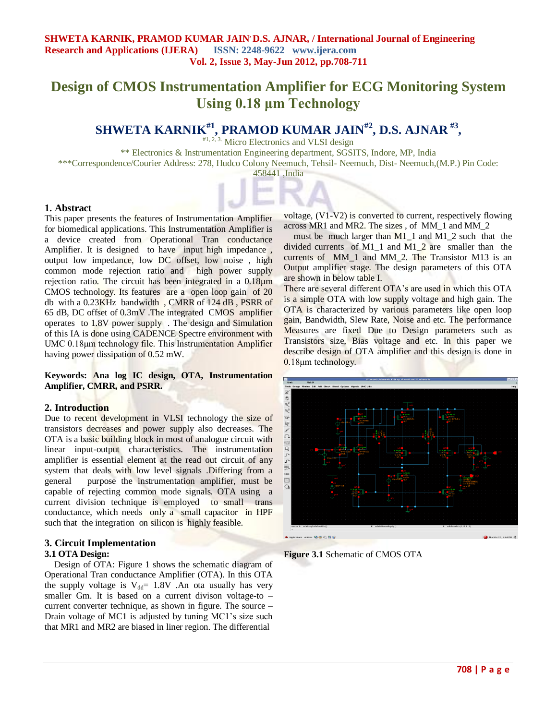# **Design of CMOS Instrumentation Amplifier for ECG Monitoring System Using 0.18 μm Technology**

# **SHWETA KARNIK#1 , PRAMOD KUMAR JAIN#2 , D.S. AJNAR #3 ,**

#1, 2, 3. Micro Electronics and VLSI design

\*\* Electronics & Instrumentation Engineering department, SGSITS, Indore, MP, India

\*\*\*Correspondence/Courier Address: 278, Hudco Colony Neemuch, Tehsil- Neemuch, Dist- Neemuch,(M.P.) Pin Code:

458441 ,India

### **1. Abstract**

This paper presents the features of Instrumentation Amplifier for biomedical applications. This Instrumentation Amplifier is a device created from Operational Tran conductance Amplifier. It is designed to have input high impedance, output low impedance, low DC offset, low noise , high common mode rejection ratio and high power supply rejection ratio. The circuit has been integrated in a 0.18µm CMOS technology. Its features are a open loop gain of 20 db with a 0.23KHz bandwidth , CMRR of 124 dB , PSRR of 65 dB, DC offset of 0.3mV .The integrated CMOS amplifier operates to 1.8V power supply . The design and Simulation of this IA is done using CADENCE Spectre environment with UMC 0.18μm technology file. This Instrumentation Amplifier having power dissipation of 0.52 mW.

### **Keywords: Ana log IC design, OTA, Instrumentation Amplifier, CMRR, and PSRR.**

#### **2. Introduction**

Due to recent development in VLSI technology the size of transistors decreases and power supply also decreases. The OTA is a basic building block in most of analogue circuit with linear input-output characteristics. The instrumentation amplifier is essential element at the read out circuit of any system that deals with low level signals .Differing from a general purpose the instrumentation amplifier, must be capable of rejecting common mode signals. OTA using a current division technique is employed to small trans conductance, which needs only a small capacitor in HPF such that the integration on silicon is highly feasible.

### **3. Circuit Implementation**

#### **3.1 OTA Design:**

Design of OTA: Figure 1 shows the schematic diagram of Operational Tran conductance Amplifier (OTA). In this OTA the supply voltage is  $V_{dd}$  1.8V .An ota usually has very smaller Gm. It is based on a current divison voltage-to – current converter technique, as shown in figure. The source – Drain voltage of MC1 is adjusted by tuning MC1's size such that MR1 and MR2 are biased in liner region. The differential

voltage, (V1-V2) is converted to current, respectively flowing across MR1 and MR2. The sizes , of MM\_1 and MM\_2

must be much larger than  $M1$  1 and  $M1$  2 such that the divided currents of M1\_1 and M1\_2 are smaller than the currents of MM 1 and MM 2. The Transistor M13 is an Output amplifier stage. The design parameters of this OTA are shown in below table I.

There are several different OTA's are used in which this OTA is a simple OTA with low supply voltage and high gain. The OTA is characterized by various parameters like open loop gain, Bandwidth, Slew Rate, Noise and etc. The performance Measures are fixed Due to Design parameters such as Transistors size, Bias voltage and etc. In this paper we describe design of OTA amplifier and this design is done in 0.18μm technology.



**Figure 3.1** Schematic of CMOS OTA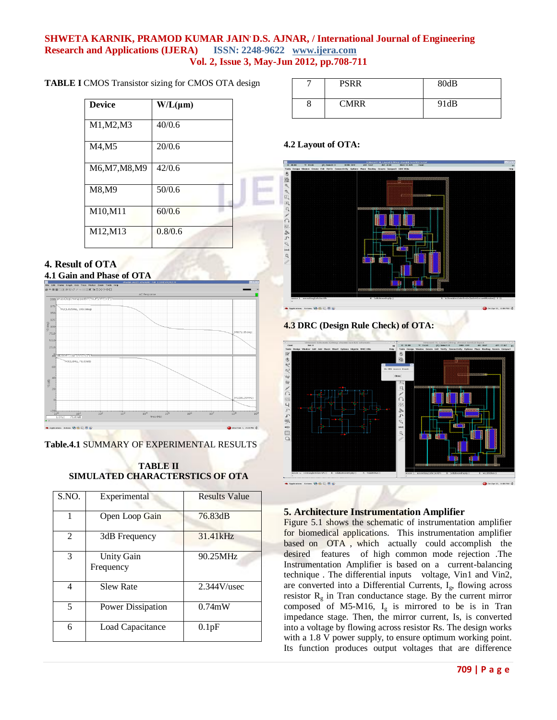**TABLE I** CMOS Transistor sizing for CMOS OTA design

| <b>Device</b>  | $W/L(\mu m)$ |
|----------------|--------------|
| M1, M2, M3     | 40/0.6       |
| M4,M5          | 20/0.6       |
| M6, M7, M8, M9 | 42/0.6       |
| M8,M9          | 50/0.6       |
| M10,M11        | 60/0.6       |
| M12,M13        | 0.8/0.6      |

### **4. Result of OTA 4.1 Gain and Phase of OTA**



# **Table.4.1** SUMMARY OF EXPERIMENTAL RESULTS

**TABLE II SIMULATED CHARACTERSTICS OF OTA**

| S.NO. | Experimental                   | <b>Results Value</b> |
|-------|--------------------------------|----------------------|
| 1     | Open Loop Gain                 | 76.83dB              |
| 2     | 3dB Frequency                  | 31.41kHz             |
| 3     | <b>Unity Gain</b><br>Frequency | 90.25MHz             |
| 4     | <b>Slew Rate</b>               | $2.344V$ /usec       |
| 5     | Power Dissipation              | 0.74mW               |
| 6     | Load Capacitance               | 0.1pF                |

|   | <b>PSRR</b> | 80dB |
|---|-------------|------|
| о | <b>CMRR</b> | 91dB |

## **4.2 Layout of OTA:**



# **4.3 DRC (Design Rule Check) of OTA:**



# **5. Architecture Instrumentation Amplifier**

Figure 5.1 shows the schematic of instrumentation amplifier for biomedical applications. This instrumentation amplifier based on OTA , which actually could accomplish the desired features of high common mode rejection .The Instrumentation Amplifier is based on a current-balancing technique . The differential inputs voltage, Vin1 and Vin2, are converted into a Differential Currents, I<sub>g</sub>, flowing across resistor  $R_g$  in Tran conductance stage. By the current mirror composed of M5-M16,  $I_g$  is mirrored to be is in Tran impedance stage. Then, the mirror current, Is, is converted into a voltage by flowing across resistor Rs. The design works with a 1.8 V power supply, to ensure optimum working point. Its function produces output voltages that are difference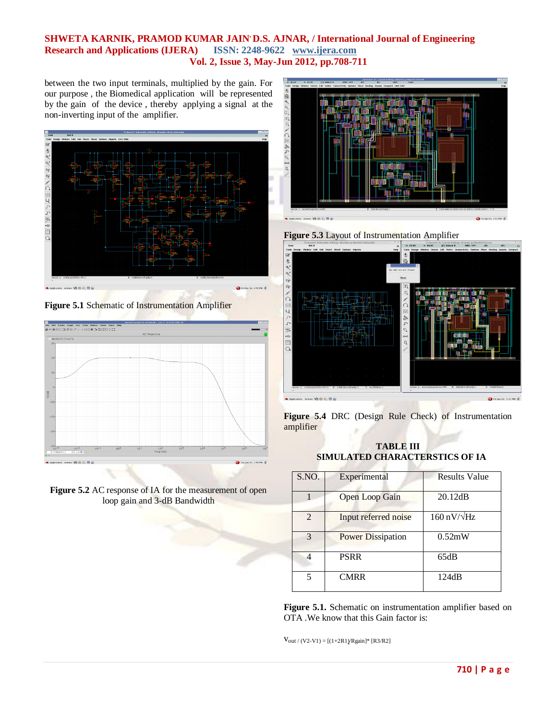between the two input terminals, multiplied by the gain. For our purpose , the Biomedical application will be represented by the gain of the device , thereby applying a signal at the non-inverting input of the amplifier.



**Figure 5.1** Schematic of Instrumentation Amplifier







**Figure 5.3** Layout of Instrumentation Amplifier



**Figure 5.4** DRC (Design Rule Check) of Instrumentation amplifier

**TABLE III SIMULATED CHARACTERSTICS OF IA**

| S.NO.          | Experimental             | <b>Results Value</b>              |
|----------------|--------------------------|-----------------------------------|
|                | Open Loop Gain           | 20.12dB                           |
| $\mathfrak{D}$ | Input referred noise     | $160 \text{ nV}/\sqrt{\text{Hz}}$ |
| 3              | <b>Power Dissipation</b> | 0.52mW                            |
| 4              | <b>PSRR</b>              | 65dB                              |
| 5              | <b>CMRR</b>              | 124dB                             |

**Figure 5.1.** Schematic on instrumentation amplifier based on OTA .We know that this Gain factor is:

 $V_{\text{out}}$  / (V2-V1) = [(1+2R1)/Rgain]\* [R3/R2]